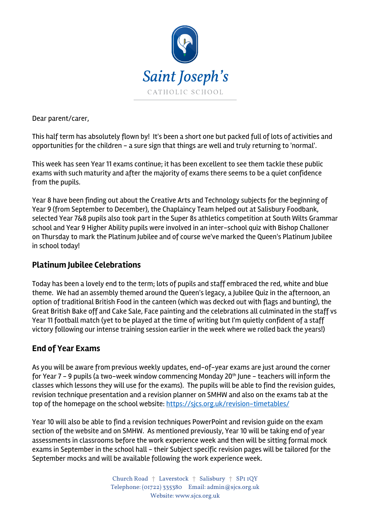

Dear parent/carer,

This half term has absolutely flown by! It's been a short one but packed full of lots of activities and opportunities for the children - a sure sign that things are well and truly returning to 'normal'.

This week has seen Year 11 exams continue; it has been excellent to see them tackle these public exams with such maturity and after the majority of exams there seems to be a quiet confidence from the pupils.

Year 8 have been finding out about the Creative Arts and Technology subjects for the beginning of Year 9 (from September to December), the Chaplaincy Team helped out at Salisbury Foodbank, selected Year 7&8 pupils also took part in the Super 8s athletics competition at South Wilts Grammar school and Year 9 Higher Ability pupils were involved in an inter-school quiz with Bishop Challoner on Thursday to mark the Platinum Jubilee and of course we've marked the Queen's Platinum Jubilee in school today!

#### **Platinum Jubilee Celebrations**

Today has been a lovely end to the term; lots of pupils and staff embraced the red, white and blue theme. We had an assembly themed around the Queen's legacy, a Jubilee Quiz in the afternoon, an option of traditional British Food in the canteen (which was decked out with flags and bunting), the Great British Bake off and Cake Sale, Face painting and the celebrations all culminated in the staff vs Year 11 football match (yet to be played at the time of writing but I'm quietly confident of a staff victory following our intense training session earlier in the week where we rolled back the years!)

# **End of Year Exams**

As you will be aware from previous weekly updates, end-of-year exams are just around the corner for Year 7 - 9 pupils (a two-week window commencing Monday 20<sup>th</sup> June - teachers will inform the classes which lessons they will use for the exams). The pupils will be able to find the revision guides, revision technique presentation and a revision planner on SMHW and also on the exams tab at the top of the homepage on the school website: https://sjcs.org.uk/revision-timetables/

Year 10 will also be able to find a revision techniques PowerPoint and revision guide on the exam section of the website and on SMHW. As mentioned previously, Year 10 will be taking end of year assessments in classrooms before the work experience week and then will be sitting formal mock exams in September in the school hall - their Subject specific revision pages will be tailored for the September mocks and will be available following the work experience week.

> Church Road † Laverstock † Salisbury † SP1 1QY Telephone: (01722) 335380 Email: admin@sjcs.org.uk Website: www.sjcs.org.uk